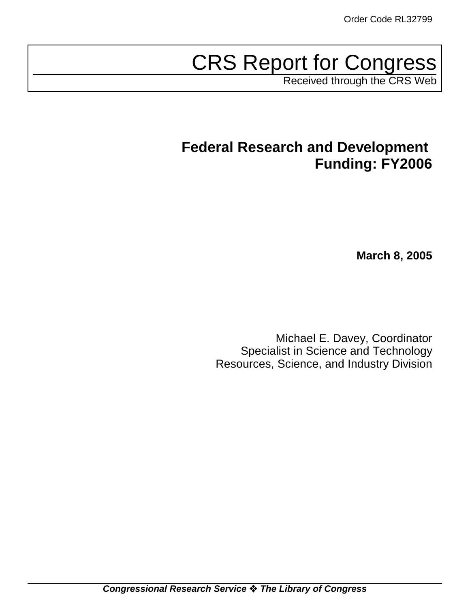# CRS Report for Congress

Received through the CRS Web

## **Federal Research and Development Funding: FY2006**

**March 8, 2005**

Michael E. Davey, Coordinator Specialist in Science and Technology Resources, Science, and Industry Division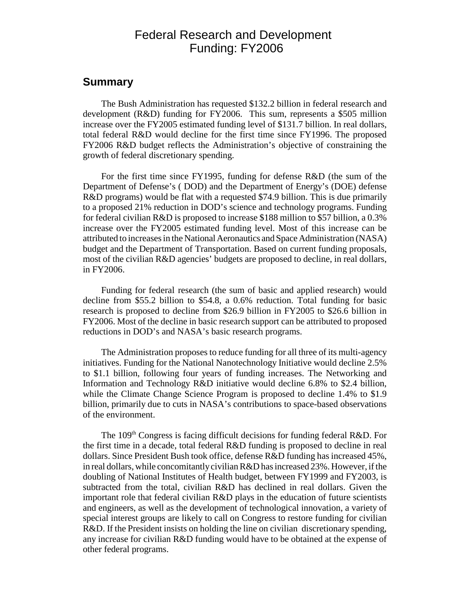## Federal Research and Development Funding: FY2006

#### **Summary**

The Bush Administration has requested \$132.2 billion in federal research and development (R&D) funding for FY2006. This sum, represents a \$505 million increase over the FY2005 estimated funding level of \$131.7 billion. In real dollars, total federal R&D would decline for the first time since FY1996. The proposed FY2006 R&D budget reflects the Administration's objective of constraining the growth of federal discretionary spending.

For the first time since FY1995, funding for defense R&D (the sum of the Department of Defense's ( DOD) and the Department of Energy's (DOE) defense R&D programs) would be flat with a requested \$74.9 billion. This is due primarily to a proposed 21% reduction in DOD's science and technology programs. Funding for federal civilian R&D is proposed to increase \$188 million to \$57 billion, a 0.3% increase over the FY2005 estimated funding level. Most of this increase can be attributed to increases in the National Aeronautics and Space Administration (NASA) budget and the Department of Transportation. Based on current funding proposals, most of the civilian R&D agencies' budgets are proposed to decline, in real dollars, in FY2006.

Funding for federal research (the sum of basic and applied research) would decline from \$55.2 billion to \$54.8, a 0.6% reduction. Total funding for basic research is proposed to decline from \$26.9 billion in FY2005 to \$26.6 billion in FY2006. Most of the decline in basic research support can be attributed to proposed reductions in DOD's and NASA's basic research programs.

The Administration proposes to reduce funding for all three of its multi-agency initiatives. Funding for the National Nanotechnology Initiative would decline 2.5% to \$1.1 billion, following four years of funding increases. The Networking and Information and Technology R&D initiative would decline 6.8% to \$2.4 billion, while the Climate Change Science Program is proposed to decline 1.4% to \$1.9 billion, primarily due to cuts in NASA's contributions to space-based observations of the environment.

The 109<sup>th</sup> Congress is facing difficult decisions for funding federal R&D. For the first time in a decade, total federal R&D funding is proposed to decline in real dollars. Since President Bush took office, defense R&D funding has increased 45%, in real dollars, while concomitantly civilian R&D has increased 23%. However, if the doubling of National Institutes of Health budget, between FY1999 and FY2003, is subtracted from the total, civilian R&D has declined in real dollars. Given the important role that federal civilian R&D plays in the education of future scientists and engineers, as well as the development of technological innovation, a variety of special interest groups are likely to call on Congress to restore funding for civilian R&D. If the President insists on holding the line on civilian discretionary spending, any increase for civilian R&D funding would have to be obtained at the expense of other federal programs.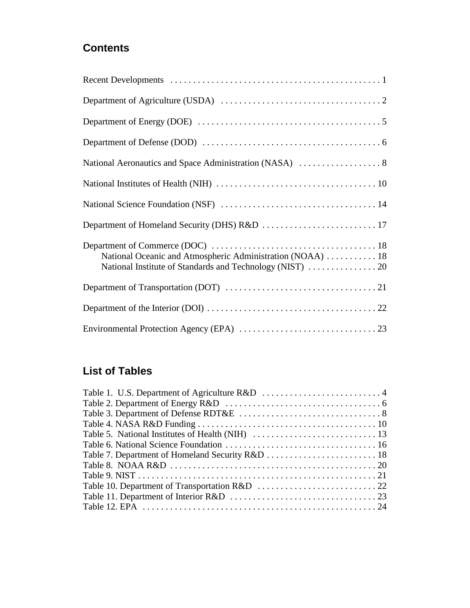## **Contents**

| National Oceanic and Atmospheric Administration (NOAA)  18 |
|------------------------------------------------------------|
|                                                            |
|                                                            |
|                                                            |

## **List of Tables**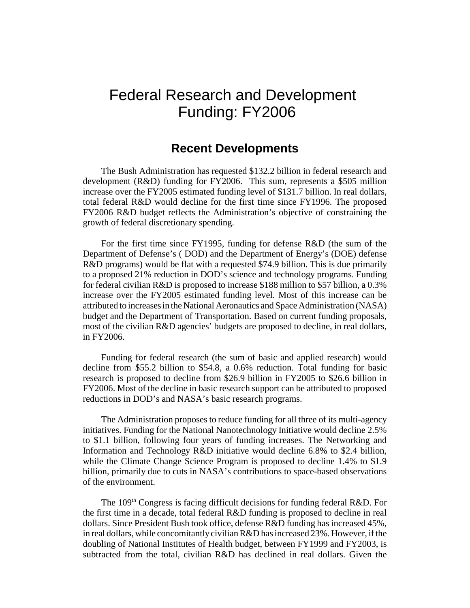## Federal Research and Development Funding: FY2006

### **Recent Developments**

The Bush Administration has requested \$132.2 billion in federal research and development (R&D) funding for FY2006. This sum, represents a \$505 million increase over the FY2005 estimated funding level of \$131.7 billion. In real dollars, total federal R&D would decline for the first time since FY1996. The proposed FY2006 R&D budget reflects the Administration's objective of constraining the growth of federal discretionary spending.

For the first time since FY1995, funding for defense R&D (the sum of the Department of Defense's ( DOD) and the Department of Energy's (DOE) defense R&D programs) would be flat with a requested \$74.9 billion. This is due primarily to a proposed 21% reduction in DOD's science and technology programs. Funding for federal civilian R&D is proposed to increase \$188 million to \$57 billion, a 0.3% increase over the FY2005 estimated funding level. Most of this increase can be attributed to increases in the National Aeronautics and Space Administration (NASA) budget and the Department of Transportation. Based on current funding proposals, most of the civilian R&D agencies' budgets are proposed to decline, in real dollars, in FY2006.

Funding for federal research (the sum of basic and applied research) would decline from \$55.2 billion to \$54.8, a 0.6% reduction. Total funding for basic research is proposed to decline from \$26.9 billion in FY2005 to \$26.6 billion in FY2006. Most of the decline in basic research support can be attributed to proposed reductions in DOD's and NASA's basic research programs.

The Administration proposes to reduce funding for all three of its multi-agency initiatives. Funding for the National Nanotechnology Initiative would decline 2.5% to \$1.1 billion, following four years of funding increases. The Networking and Information and Technology R&D initiative would decline 6.8% to \$2.4 billion, while the Climate Change Science Program is proposed to decline 1.4% to \$1.9 billion, primarily due to cuts in NASA's contributions to space-based observations of the environment.

The 109<sup>th</sup> Congress is facing difficult decisions for funding federal R&D. For the first time in a decade, total federal R&D funding is proposed to decline in real dollars. Since President Bush took office, defense R&D funding has increased 45%, in real dollars, while concomitantly civilian R&D has increased 23%. However, if the doubling of National Institutes of Health budget, between FY1999 and FY2003, is subtracted from the total, civilian R&D has declined in real dollars. Given the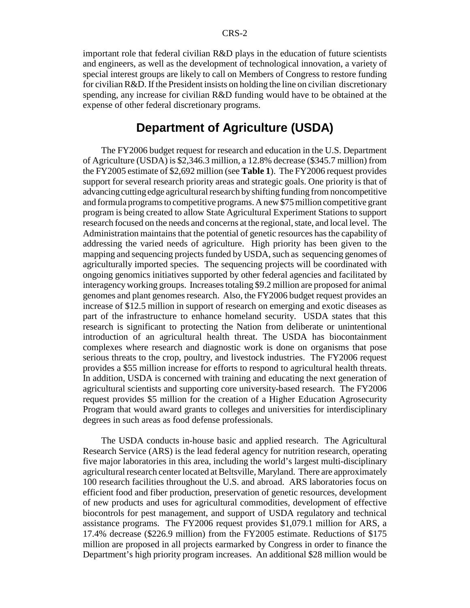important role that federal civilian R&D plays in the education of future scientists and engineers, as well as the development of technological innovation, a variety of special interest groups are likely to call on Members of Congress to restore funding for civilian R&D. If the President insists on holding the line on civilian discretionary spending, any increase for civilian R&D funding would have to be obtained at the expense of other federal discretionary programs.

## **Department of Agriculture (USDA)**

The FY2006 budget request for research and education in the U.S. Department of Agriculture (USDA) is \$2,346.3 million, a 12.8% decrease (\$345.7 million) from the FY2005 estimate of \$2,692 million (see **Table 1**). The FY2006 request provides support for several research priority areas and strategic goals. One priority is that of advancing cutting edge agricultural research by shifting funding from noncompetitive and formula programs to competitive programs. A new \$75 million competitive grant program is being created to allow State Agricultural Experiment Stations to support research focused on the needs and concerns at the regional, state, and local level. The Administration maintains that the potential of genetic resources has the capability of addressing the varied needs of agriculture. High priority has been given to the mapping and sequencing projects funded by USDA, such as sequencing genomes of agriculturally imported species. The sequencing projects will be coordinated with ongoing genomics initiatives supported by other federal agencies and facilitated by interagency working groups. Increases totaling \$9.2 million are proposed for animal genomes and plant genomes research. Also, the FY2006 budget request provides an increase of \$12.5 million in support of research on emerging and exotic diseases as part of the infrastructure to enhance homeland security. USDA states that this research is significant to protecting the Nation from deliberate or unintentional introduction of an agricultural health threat. The USDA has biocontainment complexes where research and diagnostic work is done on organisms that pose serious threats to the crop, poultry, and livestock industries. The FY2006 request provides a \$55 million increase for efforts to respond to agricultural health threats. In addition, USDA is concerned with training and educating the next generation of agricultural scientists and supporting core university-based research. The FY2006 request provides \$5 million for the creation of a Higher Education Agrosecurity Program that would award grants to colleges and universities for interdisciplinary degrees in such areas as food defense professionals.

The USDA conducts in-house basic and applied research. The Agricultural Research Service (ARS) is the lead federal agency for nutrition research, operating five major laboratories in this area, including the world's largest multi-disciplinary agricultural research center located at Beltsville, Maryland. There are approximately 100 research facilities throughout the U.S. and abroad. ARS laboratories focus on efficient food and fiber production, preservation of genetic resources, development of new products and uses for agricultural commodities, development of effective biocontrols for pest management, and support of USDA regulatory and technical assistance programs. The FY2006 request provides \$1,079.1 million for ARS, a 17.4% decrease (\$226.9 million) from the FY2005 estimate. Reductions of \$175 million are proposed in all projects earmarked by Congress in order to finance the Department's high priority program increases. An additional \$28 million would be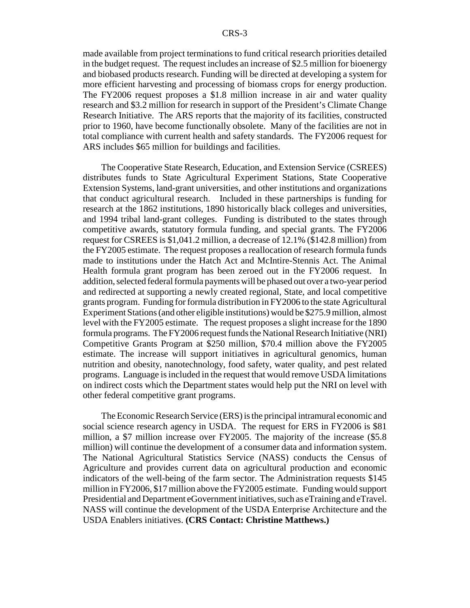made available from project terminations to fund critical research priorities detailed in the budget request. The request includes an increase of \$2.5 million for bioenergy and biobased products research. Funding will be directed at developing a system for more efficient harvesting and processing of biomass crops for energy production. The FY2006 request proposes a \$1.8 million increase in air and water quality research and \$3.2 million for research in support of the President's Climate Change Research Initiative. The ARS reports that the majority of its facilities, constructed prior to 1960, have become functionally obsolete. Many of the facilities are not in total compliance with current health and safety standards. The FY2006 request for ARS includes \$65 million for buildings and facilities.

The Cooperative State Research, Education, and Extension Service (CSREES) distributes funds to State Agricultural Experiment Stations, State Cooperative Extension Systems, land-grant universities, and other institutions and organizations that conduct agricultural research. Included in these partnerships is funding for research at the 1862 institutions, 1890 historically black colleges and universities, and 1994 tribal land-grant colleges. Funding is distributed to the states through competitive awards, statutory formula funding, and special grants. The FY2006 request for CSREES is \$1,041.2 million, a decrease of 12.1% (\$142.8 million) from the FY2005 estimate. The request proposes a reallocation of research formula funds made to institutions under the Hatch Act and McIntire-Stennis Act. The Animal Health formula grant program has been zeroed out in the FY2006 request. In addition, selected federal formula payments will be phased out over a two-year period and redirected at supporting a newly created regional, State, and local competitive grants program. Funding for formula distribution in FY2006 to the state Agricultural Experiment Stations (and other eligible institutions) would be \$275.9 million, almost level with the FY2005 estimate. The request proposes a slight increase for the 1890 formula programs. The FY2006 request funds the National Research Initiative (NRI) Competitive Grants Program at \$250 million, \$70.4 million above the FY2005 estimate. The increase will support initiatives in agricultural genomics, human nutrition and obesity, nanotechnology, food safety, water quality, and pest related programs. Language is included in the request that would remove USDA limitations on indirect costs which the Department states would help put the NRI on level with other federal competitive grant programs.

The Economic Research Service (ERS) is the principal intramural economic and social science research agency in USDA. The request for ERS in FY2006 is \$81 million, a \$7 million increase over FY2005. The majority of the increase (\$5.8 million) will continue the development of a consumer data and information system. The National Agricultural Statistics Service (NASS) conducts the Census of Agriculture and provides current data on agricultural production and economic indicators of the well-being of the farm sector. The Administration requests \$145 million in FY2006, \$17 million above the FY2005 estimate. Funding would support Presidential and Department eGovernment initiatives, such as eTraining and eTravel. NASS will continue the development of the USDA Enterprise Architecture and the USDA Enablers initiatives. **(CRS Contact: Christine Matthews.)**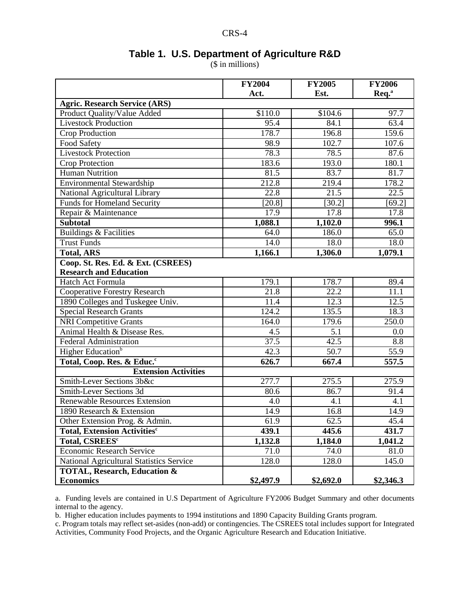### **Table 1. U.S. Department of Agriculture R&D**

(\$ in millions)

|                                          | <b>FY2004</b>       | <b>FY2005</b> | <b>FY2006</b>  |
|------------------------------------------|---------------------|---------------|----------------|
|                                          | Act.                | Est.          | $\text{Re}q^a$ |
| <b>Agric. Research Service (ARS)</b>     |                     |               |                |
| Product Quality/Value Added              | $\overline{$}110.0$ | \$104.6       | 97.7           |
| Livestock Production                     | 95.4                | 84.1          | 63.4           |
| <b>Crop Production</b>                   | 178.7               | 196.8         | 159.6          |
| Food Safety                              | 98.9                | 102.7         | 107.6          |
| <b>Livestock Protection</b>              | 78.3                | 78.5          | 87.6           |
| Crop Protection                          | 183.6               | 193.0         | 180.1          |
| <b>Human Nutrition</b>                   | 81.5                | 83.7          | 81.7           |
| <b>Environmental Stewardship</b>         | 212.8               | 219.4         | 178.2          |
| National Agricultural Library            | 22.8                | 21.5          | 22.5           |
| <b>Funds for Homeland Security</b>       | [20.8]              | [30.2]        | [69.2]         |
| Repair & Maintenance                     | 17.9                | 17.8          | 17.8           |
| <b>Subtotal</b>                          | 1,088.1             | 1,102.0       | 996.1          |
| <b>Buildings &amp; Facilities</b>        | 64.0                | 186.0         | 65.0           |
| <b>Trust Funds</b>                       | $\overline{1}4.0$   | 18.0          | 18.0           |
| <b>Total, ARS</b>                        | 1,166.1             | 1,306.0       | 1,079.1        |
| Coop. St. Res. Ed. & Ext. (CSREES)       |                     |               |                |
| <b>Research and Education</b>            |                     |               |                |
| <b>Hatch Act Formula</b>                 | 179.1               | 178.7         | 89.4           |
| <b>Cooperative Forestry Research</b>     | $\overline{21.8}$   | 22.2          | 11.1           |
| 1890 Colleges and Tuskegee Univ.         | 11.4                | 12.3          | 12.5           |
| <b>Special Research Grants</b>           | 124.2               | 135.5         | 18.3           |
| <b>NRI Competitive Grants</b>            | 164.0               | 179.6         | 250.0          |
| Animal Health & Disease Res.             | 4.5                 | 5.1           | 0.0            |
| <b>Federal Administration</b>            | 37.5                | 42.5          | 8.8            |
| Higher Education <sup>b</sup>            | 42.3                | 50.7          | 55.9           |
| Total, Coop. Res. & Educ. <sup>c</sup>   | 626.7               | 667.4         | 557.5          |
| <b>Extension Activities</b>              |                     |               |                |
| Smith-Lever Sections 3b&c                | 277.7               | 275.5         | 275.9          |
| <b>Smith-Lever Sections 3d</b>           | 80.6                | 86.7          | 91.4           |
| Renewable Resources Extension            | 4.0                 | 4.1           | 4.1            |
| 1890 Research & Extension                | 14.9                | 16.8          | 14.9           |
| Other Extension Prog. & Admin.           | 61.9                | 62.5          | 45.4           |
| Total, Extension Activities <sup>c</sup> | 439.1               | 445.6         | 431.7          |
| Total, CSREES <sup>c</sup>               | 1,132.8             | 1,184.0       | 1,041.2        |
| <b>Economic Research Service</b>         | 71.0                | 74.0          | 81.0           |
| National Agricultural Statistics Service | 128.0               | 128.0         | 145.0          |
| <b>TOTAL, Research, Education &amp;</b>  |                     |               |                |
| <b>Economics</b>                         | \$2,497.9           | \$2,692.0     | \$2,346.3      |

a. Funding levels are contained in U.S Department of Agriculture FY2006 Budget Summary and other documents internal to the agency.

b. Higher education includes payments to 1994 institutions and 1890 Capacity Building Grants program.

c. Program totals may reflect set-asides (non-add) or contingencies. The CSREES total includes support for Integrated Activities, Community Food Projects, and the Organic Agriculture Research and Education Initiative.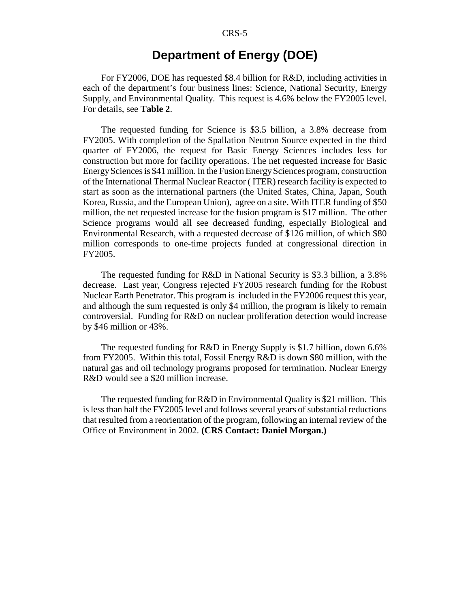## **Department of Energy (DOE)**

For FY2006, DOE has requested \$8.4 billion for R&D, including activities in each of the department's four business lines: Science, National Security, Energy Supply, and Environmental Quality. This request is 4.6% below the FY2005 level. For details, see **Table 2**.

The requested funding for Science is \$3.5 billion, a 3.8% decrease from FY2005. With completion of the Spallation Neutron Source expected in the third quarter of FY2006, the request for Basic Energy Sciences includes less for construction but more for facility operations. The net requested increase for Basic Energy Sciences is \$41 million. In the Fusion Energy Sciences program, construction of the International Thermal Nuclear Reactor ( ITER) research facility is expected to start as soon as the international partners (the United States, China, Japan, South Korea, Russia, and the European Union), agree on a site. With ITER funding of \$50 million, the net requested increase for the fusion program is \$17 million. The other Science programs would all see decreased funding, especially Biological and Environmental Research, with a requested decrease of \$126 million, of which \$80 million corresponds to one-time projects funded at congressional direction in FY2005.

The requested funding for R&D in National Security is \$3.3 billion, a 3.8% decrease. Last year, Congress rejected FY2005 research funding for the Robust Nuclear Earth Penetrator. This program is included in the FY2006 request this year, and although the sum requested is only \$4 million, the program is likely to remain controversial. Funding for R&D on nuclear proliferation detection would increase by \$46 million or 43%.

The requested funding for R&D in Energy Supply is \$1.7 billion, down 6.6% from FY2005. Within this total, Fossil Energy R&D is down \$80 million, with the natural gas and oil technology programs proposed for termination. Nuclear Energy R&D would see a \$20 million increase.

The requested funding for R&D in Environmental Quality is \$21 million. This is less than half the FY2005 level and follows several years of substantial reductions that resulted from a reorientation of the program, following an internal review of the Office of Environment in 2002. **(CRS Contact: Daniel Morgan.)**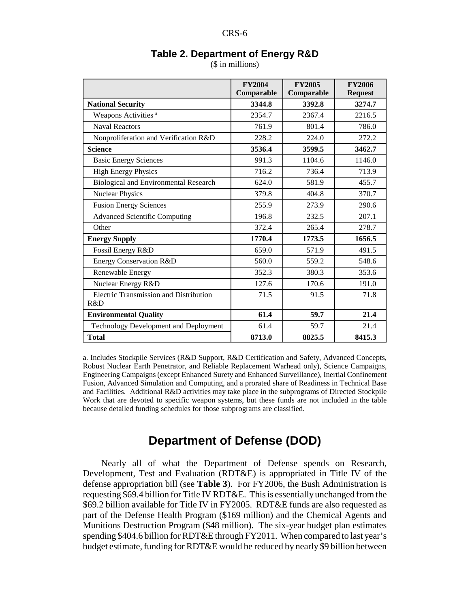|                                                      | <b>FY2004</b><br>Comparable | <b>FY2005</b><br>Comparable | <b>FY2006</b><br><b>Request</b> |
|------------------------------------------------------|-----------------------------|-----------------------------|---------------------------------|
| <b>National Security</b>                             | 3344.8                      | 3392.8                      | 3274.7                          |
| Weapons Activities <sup>a</sup>                      | 2354.7                      | 2367.4                      | 2216.5                          |
| <b>Naval Reactors</b>                                | 761.9                       | 801.4                       | 786.0                           |
| Nonproliferation and Verification R&D                | 228.2                       | 224.0                       | 272.2                           |
| <b>Science</b>                                       | 3536.4                      | 3599.5                      | 3462.7                          |
| <b>Basic Energy Sciences</b>                         | 991.3                       | 1104.6                      | 1146.0                          |
| <b>High Energy Physics</b>                           | 716.2                       | 736.4                       | 713.9                           |
| Biological and Environmental Research                | 624.0                       | 581.9                       | 455.7                           |
| <b>Nuclear Physics</b>                               | 379.8                       | 404.8                       | 370.7                           |
| <b>Fusion Energy Sciences</b>                        | 255.9                       | 273.9                       | 290.6                           |
| <b>Advanced Scientific Computing</b>                 | 196.8                       | 232.5                       | 207.1                           |
| Other                                                | 372.4                       | 265.4                       | 278.7                           |
| <b>Energy Supply</b>                                 | 1770.4                      | 1773.5                      | 1656.5                          |
| Fossil Energy R&D                                    | 659.0                       | 571.9                       | 491.5                           |
| Energy Conservation R&D                              | 560.0                       | 559.2                       | 548.6                           |
| Renewable Energy                                     | 352.3                       | 380.3                       | 353.6                           |
| Nuclear Energy R&D                                   | 127.6                       | 170.6                       | 191.0                           |
| <b>Electric Transmission and Distribution</b><br>R&D | 71.5                        | 91.5                        | 71.8                            |
| <b>Environmental Quality</b>                         | 61.4                        | 59.7                        | 21.4                            |
| Technology Development and Deployment                | 61.4                        | 59.7                        | 21.4                            |
| <b>Total</b>                                         | 8713.0                      | 8825.5                      | 8415.3                          |

## **Table 2. Department of Energy R&D**

(\$ in millions)

a. Includes Stockpile Services (R&D Support, R&D Certification and Safety, Advanced Concepts, Robust Nuclear Earth Penetrator, and Reliable Replacement Warhead only), Science Campaigns, Engineering Campaigns (except Enhanced Surety and Enhanced Surveillance), Inertial Confinement Fusion, Advanced Simulation and Computing, and a prorated share of Readiness in Technical Base and Facilities. Additional R&D activities may take place in the subprograms of Directed Stockpile Work that are devoted to specific weapon systems, but these funds are not included in the table because detailed funding schedules for those subprograms are classified.

## **Department of Defense (DOD)**

Nearly all of what the Department of Defense spends on Research, Development, Test and Evaluation (RDT&E) is appropriated in Title IV of the defense appropriation bill (see **Table 3**). For FY2006, the Bush Administration is requesting \$69.4 billion for Title IV RDT&E. This is essentially unchanged from the \$69.2 billion available for Title IV in FY2005. RDT&E funds are also requested as part of the Defense Health Program (\$169 million) and the Chemical Agents and Munitions Destruction Program (\$48 million). The six-year budget plan estimates spending \$404.6 billion for RDT&E through FY2011. When compared to last year's budget estimate, funding for RDT&E would be reduced by nearly \$9 billion between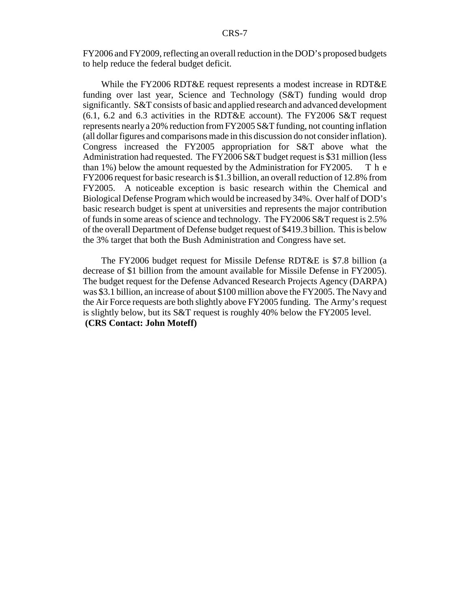FY2006 and FY2009, reflecting an overall reduction in the DOD's proposed budgets to help reduce the federal budget deficit.

While the FY2006 RDT&E request represents a modest increase in RDT&E funding over last year, Science and Technology (S&T) funding would drop significantly. S&T consists of basic and applied research and advanced development (6.1, 6.2 and 6.3 activities in the RDT&E account). The FY2006 S&T request represents nearly a 20% reduction from FY2005 S&T funding, not counting inflation (all dollar figures and comparisons made in this discussion do not consider inflation). Congress increased the FY2005 appropriation for S&T above what the Administration had requested. The FY2006 S&T budget request is \$31 million (less than 1%) below the amount requested by the Administration for FY2005. T h e FY2006 request for basic research is \$1.3 billion, an overall reduction of 12.8% from FY2005. A noticeable exception is basic research within the Chemical and Biological Defense Program which would be increased by 34%. Over half of DOD's basic research budget is spent at universities and represents the major contribution of funds in some areas of science and technology. The FY2006 S&T request is 2.5% of the overall Department of Defense budget request of \$419.3 billion. This is below the 3% target that both the Bush Administration and Congress have set.

The FY2006 budget request for Missile Defense RDT&E is \$7.8 billion (a decrease of \$1 billion from the amount available for Missile Defense in FY2005). The budget request for the Defense Advanced Research Projects Agency (DARPA) was \$3.1 billion, an increase of about \$100 million above the FY2005. The Navy and the Air Force requests are both slightly above FY2005 funding. The Army's request is slightly below, but its S&T request is roughly 40% below the FY2005 level. **(CRS Contact: John Moteff)**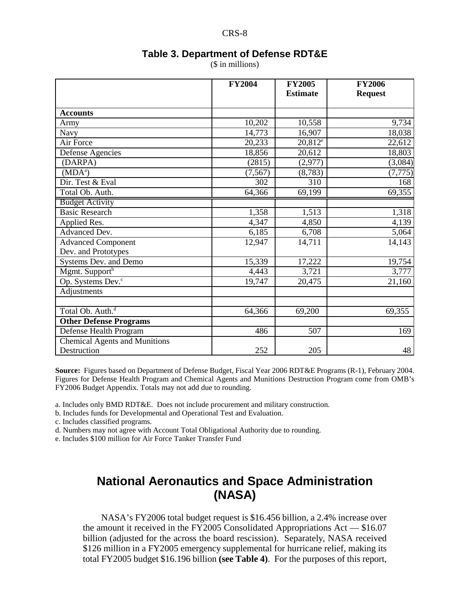| l |
|---|
|---|

#### **Table 3. Department of Defense RDT&E**

(\$ in millions)

|                                                     | <b>FY2004</b> | <b>FY2005</b><br><b>Estimate</b> | <b>FY2006</b><br><b>Request</b> |
|-----------------------------------------------------|---------------|----------------------------------|---------------------------------|
|                                                     |               |                                  |                                 |
| <b>Accounts</b>                                     |               |                                  |                                 |
| Army                                                | 10,202        | 10,558                           | 9,734                           |
| Navy                                                | 14,773        | 16,907                           | 18,038                          |
| Air Force                                           | 20,233        | $20,812^e$                       | 22,612                          |
| Defense Agencies                                    | 18,856        | 20,612                           | 18,803                          |
| (DARPA)                                             | (2815)        | (2,977)                          | (3,084)                         |
| $(MDA^a)$                                           | (7, 567)      | (8,783)                          | (7, 775)                        |
| Dir. Test & Eval                                    | 302           | 310                              | 168                             |
| Total Ob. Auth.                                     | 64,366        | 69,199                           | 69,355                          |
| <b>Budget Activity</b>                              |               |                                  |                                 |
| <b>Basic Research</b>                               | 1,358         | 1,513                            | 1,318                           |
| Applied Res.                                        | 4,347         | 4,850                            | 4,139                           |
| Advanced Dev.                                       | 6,185         | 6,708                            | 5,064                           |
| <b>Advanced Component</b>                           | 12,947        | 14,711                           | 14,143                          |
| Dev. and Prototypes                                 |               |                                  |                                 |
| Systems Dev. and Demo                               | 15,339        | 17,222                           | 19,754                          |
| Mgmt. Support <sup>b</sup>                          | 4,443         | 3,721                            | 3,777                           |
| Op. Systems Dev. <sup>c</sup>                       | 19,747        | $\overline{20,}475$              | 21,160                          |
| Adjustments                                         |               |                                  |                                 |
|                                                     |               |                                  |                                 |
| Total Ob. Auth. <sup>d</sup>                        | 64,366        | 69,200                           | 69,355                          |
| <b>Other Defense Programs</b>                       |               |                                  |                                 |
| Defense Health Program                              | 486           | 507                              | 169                             |
| <b>Chemical Agents and Munitions</b><br>Destruction | 252           | 205                              | 48                              |

**Source:** Figures based on Department of Defense Budget, Fiscal Year 2006 RDT&E Programs (R-1), February 2004. Figures for Defense Health Program and Chemical Agents and Munitions Destruction Program come from OMB's FY2006 Budget Appendix. Totals may not add due to rounding.

a. Includes only BMD RDT&E. Does not include procurement and military construction.

b. Includes funds for Developmental and Operational Test and Evaluation.

c. Includes classified programs.

d. Numbers may not agree with Account Total Obligational Authority due to rounding.

e. Includes \$100 million for Air Force Tanker Transfer Fund

## **National Aeronautics and Space Administration (NASA)**

NASA's FY2006 total budget request is \$16.456 billion, a 2.4% increase over the amount it received in the FY2005 Consolidated Appropriations Act — \$16.07 billion (adjusted for the across the board rescission). Separately, NASA received \$126 million in a FY2005 emergency supplemental for hurricane relief, making its total FY2005 budget \$16.196 billion **(see Table 4)**. For the purposes of this report,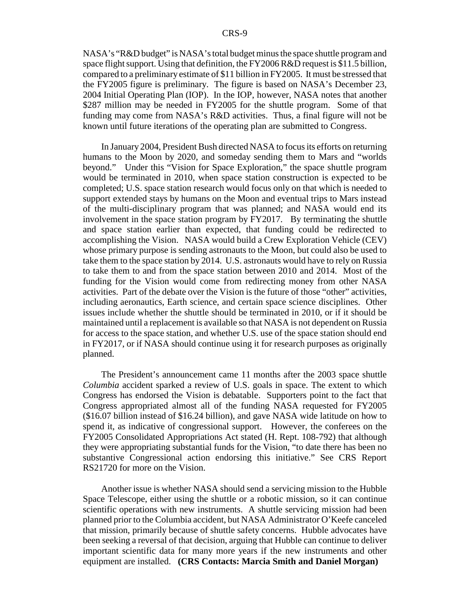NASA's "R&D budget" is NASA's total budget minus the space shuttle program and space flight support. Using that definition, the FY2006 R&D request is \$11.5 billion, compared to a preliminary estimate of \$11 billion in FY2005. It must be stressed that the FY2005 figure is preliminary. The figure is based on NASA's December 23, 2004 Initial Operating Plan (IOP). In the IOP, however, NASA notes that another \$287 million may be needed in FY2005 for the shuttle program. Some of that funding may come from NASA's R&D activities. Thus, a final figure will not be known until future iterations of the operating plan are submitted to Congress.

In January 2004, President Bush directed NASA to focus its efforts on returning humans to the Moon by 2020, and someday sending them to Mars and "worlds beyond." Under this "Vision for Space Exploration," the space shuttle program would be terminated in 2010, when space station construction is expected to be completed; U.S. space station research would focus only on that which is needed to support extended stays by humans on the Moon and eventual trips to Mars instead of the multi-disciplinary program that was planned; and NASA would end its involvement in the space station program by FY2017. By terminating the shuttle and space station earlier than expected, that funding could be redirected to accomplishing the Vision. NASA would build a Crew Exploration Vehicle (CEV) whose primary purpose is sending astronauts to the Moon, but could also be used to take them to the space station by 2014. U.S. astronauts would have to rely on Russia to take them to and from the space station between 2010 and 2014. Most of the funding for the Vision would come from redirecting money from other NASA activities. Part of the debate over the Vision is the future of those "other" activities, including aeronautics, Earth science, and certain space science disciplines. Other issues include whether the shuttle should be terminated in 2010, or if it should be maintained until a replacement is available so that NASA is not dependent on Russia for access to the space station, and whether U.S. use of the space station should end in FY2017, or if NASA should continue using it for research purposes as originally planned.

The President's announcement came 11 months after the 2003 space shuttle *Columbia* accident sparked a review of U.S. goals in space. The extent to which Congress has endorsed the Vision is debatable. Supporters point to the fact that Congress appropriated almost all of the funding NASA requested for FY2005 (\$16.07 billion instead of \$16.24 billion), and gave NASA wide latitude on how to spend it, as indicative of congressional support. However, the conferees on the FY2005 Consolidated Appropriations Act stated (H. Rept. 108-792) that although they were appropriating substantial funds for the Vision, "to date there has been no substantive Congressional action endorsing this initiative." See CRS Report RS21720 for more on the Vision.

Another issue is whether NASA should send a servicing mission to the Hubble Space Telescope, either using the shuttle or a robotic mission, so it can continue scientific operations with new instruments. A shuttle servicing mission had been planned prior to the Columbia accident, but NASA Administrator O'Keefe canceled that mission, primarily because of shuttle safety concerns. Hubble advocates have been seeking a reversal of that decision, arguing that Hubble can continue to deliver important scientific data for many more years if the new instruments and other equipment are installed. **(CRS Contacts: Marcia Smith and Daniel Morgan)**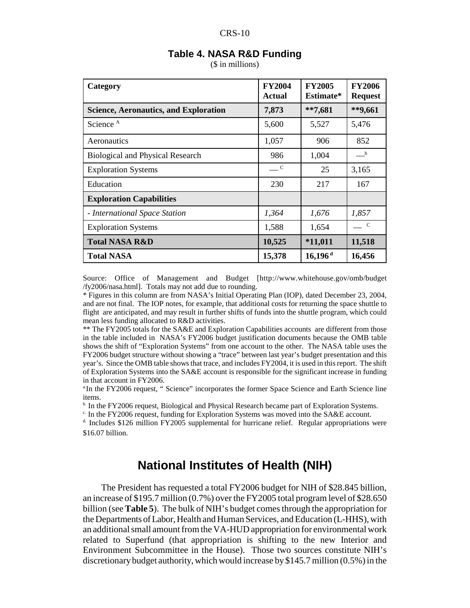#### CRS-10

| Category                                     | <b>FY2004</b><br><b>Actual</b> | <b>FY2005</b><br>Estimate* | <b>FY2006</b><br><b>Request</b> |
|----------------------------------------------|--------------------------------|----------------------------|---------------------------------|
| <b>Science, Aeronautics, and Exploration</b> | 7,873                          | $**7,681$                  | **9,661                         |
| Science <sup>A</sup>                         | 5,600                          | 5,527                      | 5,476                           |
| Aeronautics                                  | 1,057                          | 906                        | 852                             |
| <b>Biological and Physical Research</b>      | 986                            | 1,004                      | $\mathbf{b}$                    |
| <b>Exploration Systems</b>                   | $\equiv$ C                     | 25                         | 3,165                           |
| Education                                    | 230                            | 217                        | 167                             |
| <b>Exploration Capabilities</b>              |                                |                            |                                 |
| - International Space Station                | 1,364                          | 1,676                      | 1,857                           |
| <b>Exploration Systems</b>                   | 1,588                          | 1,654                      | $\mathbf C$                     |
| <b>Total NASA R&amp;D</b>                    | 10,525                         | $*11,011$                  | 11,518                          |
| <b>Total NASA</b>                            | 15,378                         | $16,196$ <sup>d</sup>      | 16,456                          |

### **Table 4. NASA R&D Funding**

(\$ in millions)

Source: Office of Management and Budget [http://www.whitehouse.gov/omb/budget /fy2006/nasa.html]. Totals may not add due to rounding.

\* Figures in this column are from NASA's Initial Operating Plan (IOP), dated December 23, 2004, and are not final. The IOP notes, for example, that additional costs for returning the space shuttle to flight are anticipated, and may result in further shifts of funds into the shuttle program, which could mean less funding allocated to R&D activities.

\*\* The FY2005 totals for the SA&E and Exploration Capabilities accounts are different from those in the table included in NASA's FY2006 budget justification documents because the OMB table shows the shift of "Exploration Systems" from one account to the other. The NASA table uses the FY2006 budget structure without showing a "trace" between last year's budget presentation and this year's. Since the OMB table shows that trace, and includes FY2004, it is used in this report. The shift of Exploration Systems into the SA&E account is responsible for the significant increase in funding in that account in FY2006.

<sup>a.</sup>In the FY2006 request, " Science" incorporates the former Space Science and Earth Science line items.

<sup>b.</sup> In the FY2006 request, Biological and Physical Research became part of Exploration Systems.

c. In the FY2006 request, funding for Exploration Systems was moved into the SA&E account.

 $d$ . Includes \$126 million FY2005 supplemental for hurricane relief. Regular appropriations were \$16.07 billion.

## **National Institutes of Health (NIH)**

The President has requested a total FY2006 budget for NIH of \$28.845 billion, an increase of \$195.7 million (0.7%) over the FY2005 total program level of \$28.650 billion (see **Table 5**). The bulk of NIH's budget comes through the appropriation for the Departments of Labor, Health and Human Services, and Education (L-HHS), with an additional small amount from the VA-HUD appropriation for environmental work related to Superfund (that appropriation is shifting to the new Interior and Environment Subcommittee in the House). Those two sources constitute NIH's discretionary budget authority, which would increase by \$145.7 million (0.5%) in the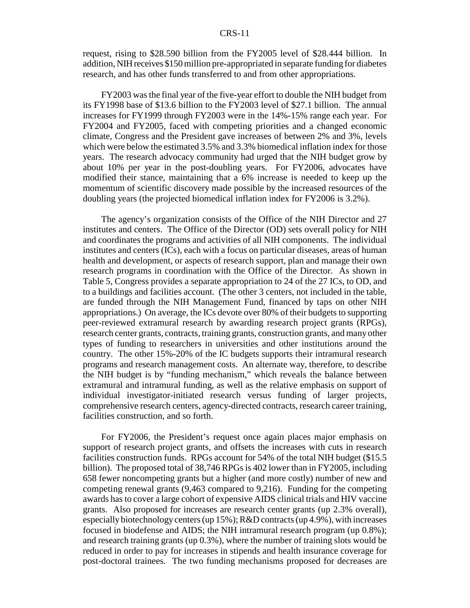#### CRS-11

request, rising to \$28.590 billion from the FY2005 level of \$28.444 billion. In addition, NIH receives \$150 million pre-appropriated in separate funding for diabetes research, and has other funds transferred to and from other appropriations.

FY2003 was the final year of the five-year effort to double the NIH budget from its FY1998 base of \$13.6 billion to the FY2003 level of \$27.1 billion. The annual increases for FY1999 through FY2003 were in the 14%-15% range each year. For FY2004 and FY2005, faced with competing priorities and a changed economic climate, Congress and the President gave increases of between 2% and 3%, levels which were below the estimated 3.5% and 3.3% biomedical inflation index for those years. The research advocacy community had urged that the NIH budget grow by about 10% per year in the post-doubling years. For FY2006, advocates have modified their stance, maintaining that a 6% increase is needed to keep up the momentum of scientific discovery made possible by the increased resources of the doubling years (the projected biomedical inflation index for FY2006 is 3.2%).

The agency's organization consists of the Office of the NIH Director and 27 institutes and centers. The Office of the Director (OD) sets overall policy for NIH and coordinates the programs and activities of all NIH components. The individual institutes and centers (ICs), each with a focus on particular diseases, areas of human health and development, or aspects of research support, plan and manage their own research programs in coordination with the Office of the Director. As shown in Table 5, Congress provides a separate appropriation to 24 of the 27 ICs, to OD, and to a buildings and facilities account. (The other 3 centers, not included in the table, are funded through the NIH Management Fund, financed by taps on other NIH appropriations.) On average, the ICs devote over 80% of their budgets to supporting peer-reviewed extramural research by awarding research project grants (RPGs), research center grants, contracts, training grants, construction grants, and many other types of funding to researchers in universities and other institutions around the country. The other 15%-20% of the IC budgets supports their intramural research programs and research management costs. An alternate way, therefore, to describe the NIH budget is by "funding mechanism," which reveals the balance between extramural and intramural funding, as well as the relative emphasis on support of individual investigator-initiated research versus funding of larger projects, comprehensive research centers, agency-directed contracts, research career training, facilities construction, and so forth.

For FY2006, the President's request once again places major emphasis on support of research project grants, and offsets the increases with cuts in research facilities construction funds. RPGs account for 54% of the total NIH budget (\$15.5 billion). The proposed total of 38,746 RPGs is 402 lower than in FY2005, including 658 fewer noncompeting grants but a higher (and more costly) number of new and competing renewal grants (9,463 compared to 9,216). Funding for the competing awards has to cover a large cohort of expensive AIDS clinical trials and HIV vaccine grants. Also proposed for increases are research center grants (up 2.3% overall), especially biotechnology centers (up 15%); R&D contracts (up 4.9%), with increases focused in biodefense and AIDS; the NIH intramural research program (up 0.8%); and research training grants (up 0.3%), where the number of training slots would be reduced in order to pay for increases in stipends and health insurance coverage for post-doctoral trainees. The two funding mechanisms proposed for decreases are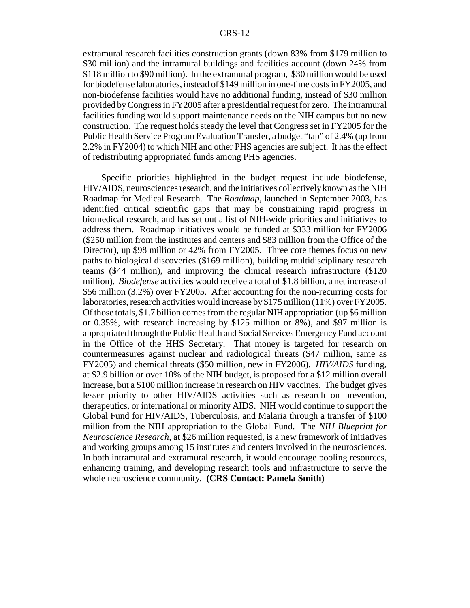extramural research facilities construction grants (down 83% from \$179 million to \$30 million) and the intramural buildings and facilities account (down 24% from \$118 million to \$90 million). In the extramural program, \$30 million would be used for biodefense laboratories, instead of \$149 million in one-time costs in FY2005, and non-biodefense facilities would have no additional funding, instead of \$30 million provided by Congress in FY2005 after a presidential request for zero. The intramural facilities funding would support maintenance needs on the NIH campus but no new construction. The request holds steady the level that Congress set in FY2005 for the Public Health Service Program Evaluation Transfer, a budget "tap" of 2.4% (up from 2.2% in FY2004) to which NIH and other PHS agencies are subject. It has the effect of redistributing appropriated funds among PHS agencies.

Specific priorities highlighted in the budget request include biodefense, HIV/AIDS, neurosciences research, and the initiatives collectively known as the NIH Roadmap for Medical Research. The *Roadmap*, launched in September 2003, has identified critical scientific gaps that may be constraining rapid progress in biomedical research, and has set out a list of NIH-wide priorities and initiatives to address them. Roadmap initiatives would be funded at \$333 million for FY2006 (\$250 million from the institutes and centers and \$83 million from the Office of the Director), up \$98 million or 42% from FY2005. Three core themes focus on new paths to biological discoveries (\$169 million), building multidisciplinary research teams (\$44 million), and improving the clinical research infrastructure (\$120 million). *Biodefense* activities would receive a total of \$1.8 billion, a net increase of \$56 million (3.2%) over FY2005. After accounting for the non-recurring costs for laboratories, research activities would increase by \$175 million (11%) over FY2005. Of those totals, \$1.7 billion comes from the regular NIH appropriation (up \$6 million or 0.35%, with research increasing by \$125 million or 8%), and \$97 million is appropriated through the Public Health and Social Services Emergency Fund account in the Office of the HHS Secretary. That money is targeted for research on countermeasures against nuclear and radiological threats (\$47 million, same as FY2005) and chemical threats (\$50 million, new in FY2006). *HIV/AIDS* funding, at \$2.9 billion or over 10% of the NIH budget, is proposed for a \$12 million overall increase, but a \$100 million increase in research on HIV vaccines. The budget gives lesser priority to other HIV/AIDS activities such as research on prevention, therapeutics, or international or minority AIDS. NIH would continue to support the Global Fund for HIV/AIDS, Tuberculosis, and Malaria through a transfer of \$100 million from the NIH appropriation to the Global Fund. The *NIH Blueprint for Neuroscience Research*, at \$26 million requested, is a new framework of initiatives and working groups among 15 institutes and centers involved in the neurosciences. In both intramural and extramural research, it would encourage pooling resources, enhancing training, and developing research tools and infrastructure to serve the whole neuroscience community. **(CRS Contact: Pamela Smith)**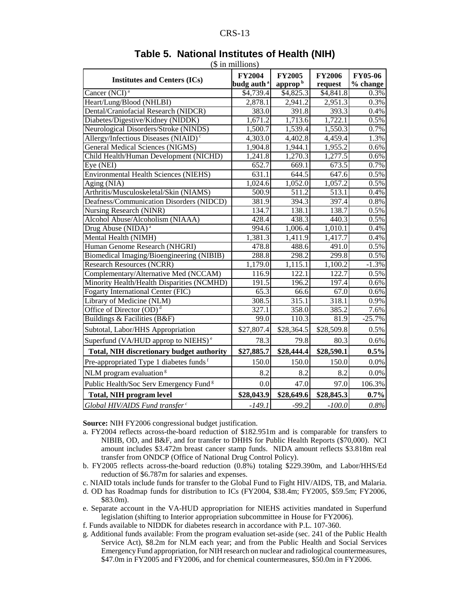| n<br>N<br>╲ ⊾ |  |  |
|---------------|--|--|
|---------------|--|--|

|                                                    | (ә ш пшпону)<br><b>FY2004</b> | <b>FY2005</b>         | <b>FY2006</b>        | <b>FY05-06</b> |
|----------------------------------------------------|-------------------------------|-----------------------|----------------------|----------------|
| <b>Institutes and Centers (ICs)</b>                | budg auth <sup>a</sup>        | approp <sup>b</sup>   | request              | % change       |
| Cancer (NCI) <sup>a</sup>                          | \$4,739.4                     | $\overline{$4,825.3}$ | \$4,841.8            | 0.3%           |
| Heart/Lung/Blood (NHLBI)                           | 2,878.1                       | 2,941.2               | 2,951.3              | 0.3%           |
| Dental/Craniofacial Research (NIDCR)               | 383.0                         | 391.8                 | 393.3                | 0.4%           |
| Diabetes/Digestive/Kidney (NIDDK)                  | 1,671.2                       | 1,713.6               | 1,722.1              | 0.5%           |
| Neurological Disorders/Stroke (NINDS)              | 1,500.7                       | 1,539.4               | 1,550.3              | 0.7%           |
| Allergy/Infectious Diseases (NIAID) <sup>c</sup>   | 4,303.0                       | 4,402.8               | 4,459.4              | 1.3%           |
| <b>General Medical Sciences (NIGMS)</b>            | 1,904.8                       | 1,944.1               | 1,955.2              | 0.6%           |
| Child Health/Human Development (NICHD)             | 1,241.8                       | 1,270.3               | 1,277.5              | 0.6%           |
| Eye (NEI)                                          | 652.7                         | 669.1                 | 673.5                | 0.7%           |
| <b>Environmental Health Sciences (NIEHS)</b>       | 631.1                         | 644.5                 | 647.6                | 0.5%           |
| Aging (NIA)                                        | 1,024.6                       | 1,052.0               | 1,057.2              | 0.5%           |
| Arthritis/Musculoskeletal/Skin (NIAMS)             | $\frac{500.9}{ }$             | 511.2                 | $\overline{513.1}$   | 0.4%           |
| Deafness/Communication Disorders (NIDCD)           | 381.9                         | 394.3                 | 397.4                | 0.8%           |
| Nursing Research (NINR)                            | 134.7                         | 138.1                 | 138.7                | 0.5%           |
| Alcohol Abuse/Alcoholism (NIAAA)                   | 428.4                         | 438.3                 | 440.3                | 0.5%           |
| Drug Abuse (NIDA) <sup>a</sup>                     | 994.6                         | 1,006.4               | 1,010.1              | 0.4%           |
| Mental Health (NIMH)                               | 1,381.3                       | 1,411.9               | $1,417.\overline{7}$ | 0.4%           |
| Human Genome Research (NHGRI)                      | 478.8                         | 488.6                 | 491.0                | 0.5%           |
| Biomedical Imaging/Bioengineering (NIBIB)          | 288.8                         | 298.2                 | 299.8                | 0.5%           |
| <b>Research Resources (NCRR)</b>                   | 1,179.0                       | 1,115.1               | 1,100.2              | $-1.3%$        |
| Complementary/Alternative Med (NCCAM)              | 116.9                         | 122.1                 | 122.7                | 0.5%           |
| Minority Health/Health Disparities (NCMHD)         | 191.5                         | 196.2                 | 197.4                | 0.6%           |
| <b>Fogarty International Center (FIC)</b>          | 65.3                          | 66.6                  | 67.0                 | 0.6%           |
| Library of Medicine (NLM)                          | 308.5                         | 315.1                 | 318.1                | 0.9%           |
| Office of Director $(OD)^d$                        | 327.1                         | 358.0                 | 385.2                | 7.6%           |
| Buildings & Facilities (B&F)                       | 99.0                          | 110.3                 | 81.9                 | $-25.7%$       |
| Subtotal, Labor/HHS Appropriation                  | \$27,807.4                    | \$28,364.5            | \$28,509.8           | 0.5%           |
| Superfund (VA/HUD approp to NIEHS) <sup>e</sup>    | 78.3                          | 79.8                  | 80.3                 | 0.6%           |
| <b>Total, NIH discretionary budget authority</b>   | \$27,885.7                    | \$28,444.4            | \$28,590.1           | $0.5\%$        |
| Pre-appropriated Type 1 diabetes funds f           | 150.0                         | 150.0                 | 150.0                | $0.0\%$        |
| NLM program evaluation <sup><math>s</math></sup>   | 8.2                           | 8.2                   | 8.2                  | 0.0%           |
| Public Health/Soc Serv Emergency Fund <sup>8</sup> | 0.0                           | 47.0                  | 97.0                 | 106.3%         |
| <b>Total, NIH program level</b>                    | \$28,043.9                    | \$28,649.6            | \$28,845.3           | 0.7%           |
| Global HIV/AIDS Fund transfer <sup>c</sup>         | $-149.1$                      | $-99.2$               | $-100.0$             | 0.8%           |

#### **Table 5. National Institutes of Health (NIH)**  $(\Phi$  in millions)

**Source:** NIH FY2006 congressional budget justification.

- a. FY2004 reflects across-the-board reduction of \$182.951m and is comparable for transfers to NIBIB, OD, and B&F, and for transfer to DHHS for Public Health Reports (\$70,000). NCI amount includes \$3.472m breast cancer stamp funds. NIDA amount reflects \$3.818m real transfer from ONDCP (Office of National Drug Control Policy).
- b. FY2005 reflects across-the-board reduction (0.8%) totaling \$229.390m, and Labor/HHS/Ed reduction of \$6.787m for salaries and expenses.
- c. NIAID totals include funds for transfer to the Global Fund to Fight HIV/AIDS, TB, and Malaria.
- d. OD has Roadmap funds for distribution to ICs (FY2004, \$38.4m; FY2005, \$59.5m; FY2006, \$83.0m).
- e. Separate account in the VA-HUD appropriation for NIEHS activities mandated in Superfund legislation (shifting to Interior appropriation subcommittee in House for FY2006).
- f. Funds available to NIDDK for diabetes research in accordance with P.L. 107-360.
- g. Additional funds available: From the program evaluation set-aside (sec. 241 of the Public Health Service Act), \$8.2m for NLM each year; and from the Public Health and Social Services Emergency Fund appropriation, for NIH research on nuclear and radiological countermeasures, \$47.0m in FY2005 and FY2006, and for chemical countermeasures, \$50.0m in FY2006.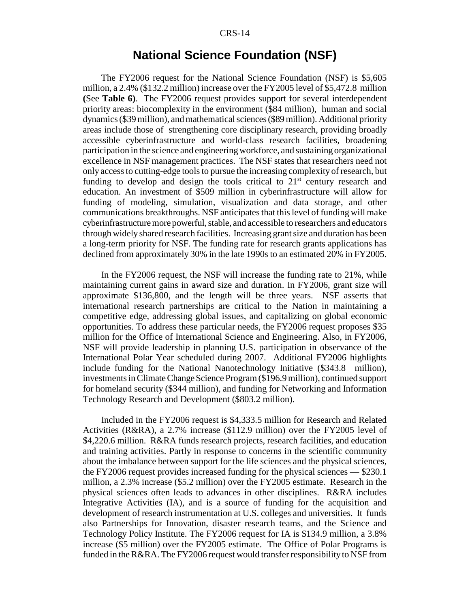## **National Science Foundation (NSF)**

The FY2006 request for the National Science Foundation (NSF) is \$5,605 million, a 2.4% (\$132.2 million) increase over the FY2005 level of \$5,472.8 million **(**See **Table 6)**. The FY2006 request provides support for several interdependent priority areas: biocomplexity in the environment (\$84 million), human and social dynamics (\$39 million), and mathematical sciences (\$89 million). Additional priority areas include those of strengthening core disciplinary research, providing broadly accessible cyberinfrastructure and world-class research facilities, broadening participation in the science and engineering workforce, and sustaining organizational excellence in NSF management practices. The NSF states that researchers need not only access to cutting-edge tools to pursue the increasing complexity of research, but funding to develop and design the tools critical to  $21<sup>st</sup>$  century research and education. An investment of \$509 million in cyberinfrastructure will allow for funding of modeling, simulation, visualization and data storage, and other communications breakthroughs. NSF anticipates that this level of funding will make cyberinfrastructure more powerful, stable, and accessible to researchers and educators through widely shared research facilities. Increasing grant size and duration has been a long-term priority for NSF. The funding rate for research grants applications has declined from approximately 30% in the late 1990s to an estimated 20% in FY2005.

In the FY2006 request, the NSF will increase the funding rate to 21%, while maintaining current gains in award size and duration. In FY2006, grant size will approximate \$136,800, and the length will be three years. NSF asserts that international research partnerships are critical to the Nation in maintaining a competitive edge, addressing global issues, and capitalizing on global economic opportunities. To address these particular needs, the FY2006 request proposes \$35 million for the Office of International Science and Engineering. Also, in FY2006, NSF will provide leadership in planning U.S. participation in observance of the International Polar Year scheduled during 2007. Additional FY2006 highlights include funding for the National Nanotechnology Initiative (\$343.8 million), investments in Climate Change Science Program (\$196.9 million), continued support for homeland security (\$344 million), and funding for Networking and Information Technology Research and Development (\$803.2 million).

Included in the FY2006 request is \$4,333.5 million for Research and Related Activities (R&RA), a 2.7% increase (\$112.9 million) over the FY2005 level of \$4,220.6 million. R&RA funds research projects, research facilities, and education and training activities. Partly in response to concerns in the scientific community about the imbalance between support for the life sciences and the physical sciences, the FY2006 request provides increased funding for the physical sciences — \$230.1 million, a 2.3% increase (\$5.2 million) over the FY2005 estimate. Research in the physical sciences often leads to advances in other disciplines. R&RA includes Integrative Activities (IA), and is a source of funding for the acquisition and development of research instrumentation at U.S. colleges and universities. It funds also Partnerships for Innovation, disaster research teams, and the Science and Technology Policy Institute. The FY2006 request for IA is \$134.9 million, a 3.8% increase (\$5 million) over the FY2005 estimate. The Office of Polar Programs is funded in the R&RA. The FY2006 request would transfer responsibility to NSF from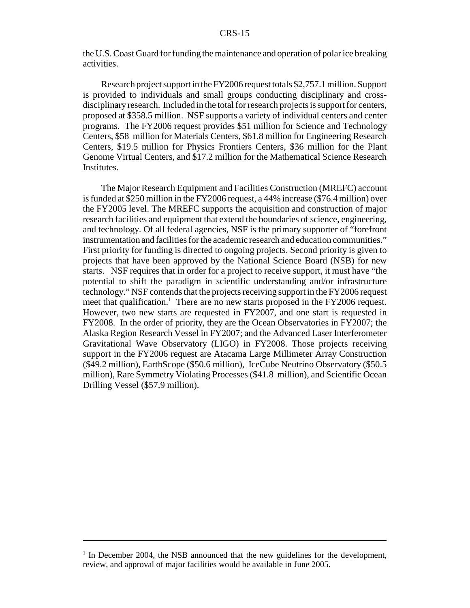the U.S. Coast Guard for funding the maintenance and operation of polar ice breaking activities.

Research project support in the FY2006 request totals \$2,757.1 million. Support is provided to individuals and small groups conducting disciplinary and crossdisciplinary research. Included in the total for research projects is support for centers, proposed at \$358.5 million. NSF supports a variety of individual centers and center programs. The FY2006 request provides \$51 million for Science and Technology Centers, \$58 million for Materials Centers, \$61.8 million for Engineering Research Centers, \$19.5 million for Physics Frontiers Centers, \$36 million for the Plant Genome Virtual Centers, and \$17.2 million for the Mathematical Science Research Institutes.

The Major Research Equipment and Facilities Construction (MREFC) account is funded at \$250 million in the FY2006 request, a 44% increase (\$76.4 million) over the FY2005 level. The MREFC supports the acquisition and construction of major research facilities and equipment that extend the boundaries of science, engineering, and technology. Of all federal agencies, NSF is the primary supporter of "forefront instrumentation and facilities for the academic research and education communities." First priority for funding is directed to ongoing projects. Second priority is given to projects that have been approved by the National Science Board (NSB) for new starts. NSF requires that in order for a project to receive support, it must have "the potential to shift the paradigm in scientific understanding and/or infrastructure technology." NSF contends that the projects receiving support in the FY2006 request meet that qualification.<sup>1</sup> There are no new starts proposed in the FY2006 request. However, two new starts are requested in FY2007, and one start is requested in FY2008. In the order of priority, they are the Ocean Observatories in FY2007; the Alaska Region Research Vessel in FY2007; and the Advanced Laser Interferometer Gravitational Wave Observatory (LIGO) in FY2008. Those projects receiving support in the FY2006 request are Atacama Large Millimeter Array Construction (\$49.2 million), EarthScope (\$50.6 million), IceCube Neutrino Observatory (\$50.5 million), Rare Symmetry Violating Processes (\$41.8 million), and Scientific Ocean Drilling Vessel (\$57.9 million).

<sup>&</sup>lt;sup>1</sup> In December 2004, the NSB announced that the new guidelines for the development, review, and approval of major facilities would be available in June 2005.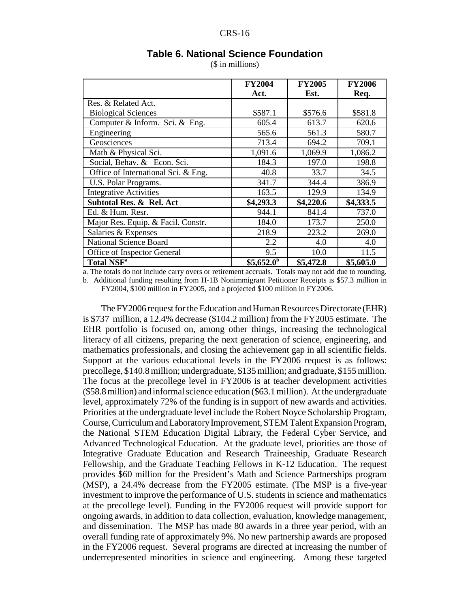|                                     | <b>FY2004</b> | <b>FY2005</b> | <b>FY2006</b> |
|-------------------------------------|---------------|---------------|---------------|
|                                     | Act.          | Est.          | Req.          |
| Res. & Related Act.                 |               |               |               |
| <b>Biological Sciences</b>          | \$587.1       | \$576.6       | \$581.8       |
| Computer & Inform. Sci. & Eng.      | 605.4         | 613.7         | 620.6         |
| Engineering                         | 565.6         | 561.3         | 580.7         |
| Geosciences                         | 713.4         | 694.2         | 709.1         |
| Math & Physical Sci.                | 1,091.6       | 1,069.9       | 1,086.2       |
| Social, Behav. & Econ. Sci.         | 184.3         | 197.0         | 198.8         |
| Office of International Sci. & Eng. | 40.8          | 33.7          | 34.5          |
| U.S. Polar Programs.                | 341.7         | 344.4         | 386.9         |
| <b>Integrative Activities</b>       | 163.5         | 129.9         | 134.9         |
| Subtotal Res. & Rel. Act            | \$4,293.3     | \$4,220.6     | \$4,333.5     |
| Ed. & Hum. Resr.                    | 944.1         | 841.4         | 737.0         |
| Major Res. Equip. & Facil. Constr.  | 184.0         | 173.7         | 250.0         |
| Salaries & Expenses                 | 218.9         | 223.2         | 269.0         |
| <b>National Science Board</b>       | 2.2           | 4.0           | 4.0           |
| Office of Inspector General         | 9.5           | 10.0          | 11.5          |
| <b>Total NSF<sup>a</sup></b>        | $$5,652.0^b$  | \$5,472.8     | \$5,605.0     |

#### **Table 6. National Science Foundation**

CRS-16

(\$ in millions)

a. The totals do not include carry overs or retirement accruals. Totals may not add due to rounding.

b. Additional funding resulting from H-1B Nonimmigrant Petitioner Receipts is \$57.3 million in FY2004, \$100 million in FY2005, and a projected \$100 million in FY2006.

The FY2006 request for the Education and Human Resources Directorate (EHR) is \$737 million, a 12.4% decrease (\$104.2 million) from the FY2005 estimate. The EHR portfolio is focused on, among other things, increasing the technological literacy of all citizens, preparing the next generation of science, engineering, and mathematics professionals, and closing the achievement gap in all scientific fields. Support at the various educational levels in the FY2006 request is as follows: precollege, \$140.8 million; undergraduate, \$135 million; and graduate, \$155 million. The focus at the precollege level in FY2006 is at teacher development activities (\$58.8 million) and informal science education (\$63.1 million). At the undergraduate level, approximately 72% of the funding is in support of new awards and activities. Priorities at the undergraduate level include the Robert Noyce Scholarship Program, Course, Curriculum and Laboratory Improvement, STEM Talent Expansion Program, the National STEM Education Digital Library, the Federal Cyber Service, and Advanced Technological Education. At the graduate level, priorities are those of Integrative Graduate Education and Research Traineeship, Graduate Research Fellowship, and the Graduate Teaching Fellows in K-12 Education. The request provides \$60 million for the President's Math and Science Partnerships program (MSP), a 24.4% decrease from the FY2005 estimate. (The MSP is a five-year investment to improve the performance of U.S. students in science and mathematics at the precollege level). Funding in the FY2006 request will provide support for ongoing awards, in addition to data collection, evaluation, knowledge management, and dissemination. The MSP has made 80 awards in a three year period, with an overall funding rate of approximately 9%. No new partnership awards are proposed in the FY2006 request. Several programs are directed at increasing the number of underrepresented minorities in science and engineering. Among these targeted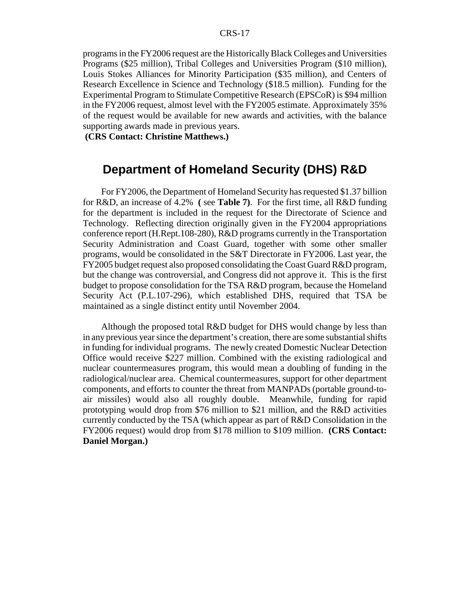#### CRS-17

programs in the FY2006 request are the Historically Black Colleges and Universities Programs (\$25 million), Tribal Colleges and Universities Program (\$10 million), Louis Stokes Alliances for Minority Participation (\$35 million), and Centers of Research Excellence in Science and Technology (\$18.5 million). Funding for the Experimental Program to Stimulate Competitive Research (EPSCoR) is \$94 million in the FY2006 request, almost level with the FY2005 estimate. Approximately 35% of the request would be available for new awards and activities, with the balance supporting awards made in previous years.

**(CRS Contact: Christine Matthews.)**

## **Department of Homeland Security (DHS) R&D**

For FY2006, the Department of Homeland Security has requested \$1.37 billion for R&D, an increase of 4.2% **(** see **Table 7)**. For the first time, all R&D funding for the department is included in the request for the Directorate of Science and Technology. Reflecting direction originally given in the FY2004 appropriations conference report (H.Rept.108-280), R&D programs currently in the Transportation Security Administration and Coast Guard, together with some other smaller programs, would be consolidated in the S&T Directorate in FY2006. Last year, the FY2005 budget request also proposed consolidating the Coast Guard R&D program, but the change was controversial, and Congress did not approve it. This is the first budget to propose consolidation for the TSA R&D program, because the Homeland Security Act (P.L.107-296), which established DHS, required that TSA be maintained as a single distinct entity until November 2004.

Although the proposed total R&D budget for DHS would change by less than in any previous year since the department's creation, there are some substantial shifts in funding for individual programs. The newly created Domestic Nuclear Detection Office would receive \$227 million. Combined with the existing radiological and nuclear countermeasures program, this would mean a doubling of funding in the radiological/nuclear area. Chemical countermeasures, support for other department components, and efforts to counter the threat from MANPADs (portable ground-toair missiles) would also all roughly double. Meanwhile, funding for rapid prototyping would drop from \$76 million to \$21 million, and the R&D activities currently conducted by the TSA (which appear as part of R&D Consolidation in the FY2006 request) would drop from \$178 million to \$109 million. **(CRS Contact: Daniel Morgan.)**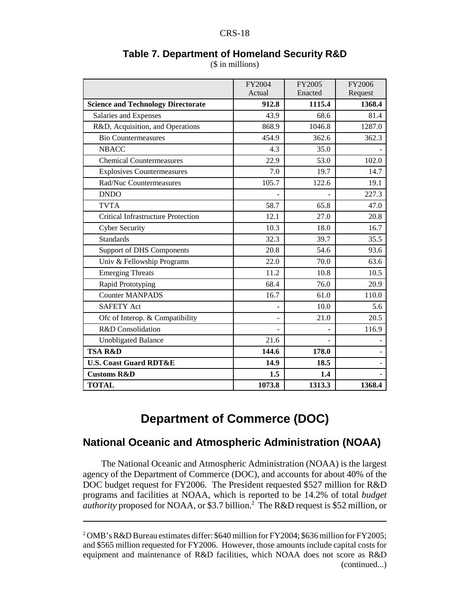|                                           | FY2004<br>Actual | FY2005<br>Enacted | FY2006<br>Request |
|-------------------------------------------|------------------|-------------------|-------------------|
| <b>Science and Technology Directorate</b> | 912.8            | 1115.4            | 1368.4            |
| Salaries and Expenses                     | 43.9             | 68.6              | 81.4              |
| R&D, Acquisition, and Operations          | 868.9            | 1046.8            | 1287.0            |
| <b>Bio Countermeasures</b>                | 454.9            | 362.6             | 362.3             |
| <b>NBACC</b>                              | 4.3              | 35.0              |                   |
| <b>Chemical Countermeasures</b>           | 22.9             | 53.0              | 102.0             |
| <b>Explosives Countermeasures</b>         | 7.0              | 19.7              | 14.7              |
| Rad/Nuc Countermeasures                   | 105.7            | 122.6             | 19.1              |
| <b>DNDO</b>                               |                  |                   | 227.3             |
| <b>TVTA</b>                               | 58.7             | 65.8              | 47.0              |
| <b>Critical Infrastructure Protection</b> | 12.1             | 27.0              | 20.8              |
| Cyber Security                            | 10.3             | 18.0              | 16.7              |
| <b>Standards</b>                          | 32.3             | 39.7              | 35.5              |
| <b>Support of DHS Components</b>          | 20.8             | 54.6              | 93.6              |
| Univ & Fellowship Programs                | 22.0             | 70.0              | 63.6              |
| <b>Emerging Threats</b>                   | 11.2             | 10.8              | 10.5              |
| Rapid Prototyping                         | 68.4             | 76.0              | 20.9              |
| <b>Counter MANPADS</b>                    | 16.7             | 61.0              | 110.0             |
| <b>SAFETY Act</b>                         |                  | 10.0              | 5.6               |

#### **Table 7. Department of Homeland Security R&D** (\$ in millions)

## **Department of Commerce (DOC)**

Ofc of Interop. & Compatibility  $21.0$  20.5 R&D Consolidation and the set of the set of the set of the set of the set of the set of the set of the set of the set of the set of the set of the set of the set of the set of the set of the set of the set of the set of th

**TSA R&D** 144.6 178.0

**TOTAL 1073.8 1313.3 1368.4** 

Unobligated Balance 21.6

**U.S. Coast Guard RDT&E** 14.9 18.5 **Customs R&D** 1.5 1.4

## **National Oceanic and Atmospheric Administration (NOAA)**

The National Oceanic and Atmospheric Administration (NOAA) is the largest agency of the Department of Commerce (DOC), and accounts for about 40% of the DOC budget request for FY2006. The President requested \$527 million for R&D programs and facilities at NOAA, which is reported to be 14.2% of total *budget* authority proposed for NOAA, or \$3.7 billion.<sup>2</sup> The R&D request is \$52 million, or

<sup>&</sup>lt;sup>2</sup> OMB's R&D Bureau estimates differ: \$640 million for FY2004; \$636 million for FY2005; and \$565 million requested for FY2006. However, those amounts include capital costs for equipment and maintenance of R&D facilities, which NOAA does not score as R&D (continued...)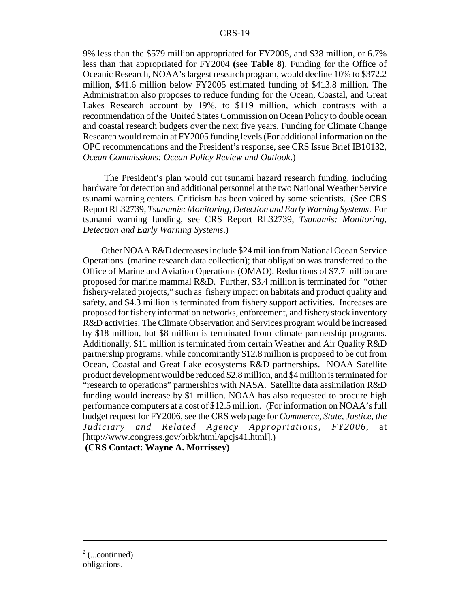#### CRS-19

9% less than the \$579 million appropriated for FY2005, and \$38 million, or 6.7% less than that appropriated for FY2004 **(**see **Table 8)**. Funding for the Office of Oceanic Research, NOAA's largest research program, would decline 10% to \$372.2 million, \$41.6 million below FY2005 estimated funding of \$413.8 million. The Administration also proposes to reduce funding for the Ocean, Coastal, and Great Lakes Research account by 19%, to \$119 million, which contrasts with a recommendation of the United States Commission on Ocean Policy to double ocean and coastal research budgets over the next five years. Funding for Climate Change Research would remain at FY2005 funding levels (For additional information on the OPC recommendations and the President's response, see CRS Issue Brief IB10132, *Ocean Commissions: Ocean Policy Review and Outlook*.)

 The President's plan would cut tsunami hazard research funding, including hardware for detection and additional personnel at the two National Weather Service tsunami warning centers. Criticism has been voiced by some scientists. (See CRS Report RL32739, *Tsunamis: Monitoring, Detection and Early Warning Systems*. For tsunami warning funding, see CRS Report RL32739, *Tsunamis: Monitoring, Detection and Early Warning Systems*.)

Other NOAA R&D decreases include \$24 million from National Ocean Service Operations (marine research data collection); that obligation was transferred to the Office of Marine and Aviation Operations (OMAO). Reductions of \$7.7 million are proposed for marine mammal R&D. Further, \$3.4 million is terminated for "other fishery-related projects," such as fishery impact on habitats and product quality and safety, and \$4.3 million is terminated from fishery support activities. Increases are proposed for fishery information networks, enforcement, and fishery stock inventory R&D activities. The Climate Observation and Services program would be increased by \$18 million, but \$8 million is terminated from climate partnership programs. Additionally, \$11 million is terminated from certain Weather and Air Quality R&D partnership programs, while concomitantly \$12.8 million is proposed to be cut from Ocean, Coastal and Great Lake ecosystems R&D partnerships. NOAA Satellite product development would be reduced \$2.8 million, and \$4 million is terminated for "research to operations" partnerships with NASA. Satellite data assimilation R&D funding would increase by \$1 million. NOAA has also requested to procure high performance computers at a cost of \$12.5 million. (For information on NOAA's full budget request for FY2006, see the CRS web page for *Commerce, State, Justice, the Judiciary and Related Agency Appropriations, FY2006*, at [http://www.congress.gov/brbk/html/apcjs41.html].)

 **(CRS Contact: Wayne A. Morrissey)**

 $2$  (...continued) obligations.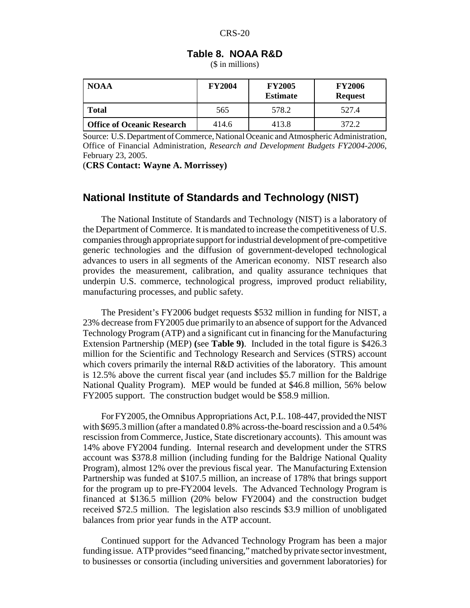| Table 8. NOAA R&D |  |
|-------------------|--|
|-------------------|--|

(\$ in millions)

| <b>NOAA</b>                       | <b>FY2004</b> | <b>FY2005</b><br><b>Estimate</b> | <b>FY2006</b><br><b>Request</b> |
|-----------------------------------|---------------|----------------------------------|---------------------------------|
| <b>Total</b>                      | 565           | 578.2                            | 527.4                           |
| <b>Office of Oceanic Research</b> | 414.6         | 413.8                            | 372.2                           |

Source: U.S. Department of Commerce, National Oceanic and Atmospheric Administration, Office of Financial Administration, *Research and Development Budgets FY2004-2006*, February 23, 2005.

(**CRS Contact: Wayne A. Morrissey)**

#### **National Institute of Standards and Technology (NIST)**

The National Institute of Standards and Technology (NIST) is a laboratory of the Department of Commerce. It is mandated to increase the competitiveness of U.S. companies through appropriate support for industrial development of pre-competitive generic technologies and the diffusion of government-developed technological advances to users in all segments of the American economy. NIST research also provides the measurement, calibration, and quality assurance techniques that underpin U.S. commerce, technological progress, improved product reliability, manufacturing processes, and public safety.

The President's FY2006 budget requests \$532 million in funding for NIST, a 23% decrease from FY2005 due primarily to an absence of support for the Advanced Technology Program (ATP) and a significant cut in financing for the Manufacturing Extension Partnership (MEP) **(**see **Table 9)**. Included in the total figure is \$426.3 million for the Scientific and Technology Research and Services (STRS) account which covers primarily the internal R&D activities of the laboratory. This amount is 12.5% above the current fiscal year (and includes \$5.7 million for the Baldrige National Quality Program). MEP would be funded at \$46.8 million, 56% below FY2005 support. The construction budget would be \$58.9 million.

For FY2005, the Omnibus Appropriations Act, P.L. 108-447, provided the NIST with \$695.3 million (after a mandated 0.8% across-the-board rescission and a 0.54% rescission from Commerce, Justice, State discretionary accounts). This amount was 14% above FY2004 funding. Internal research and development under the STRS account was \$378.8 million (including funding for the Baldrige National Quality Program), almost 12% over the previous fiscal year. The Manufacturing Extension Partnership was funded at \$107.5 million, an increase of 178% that brings support for the program up to pre-FY2004 levels. The Advanced Technology Program is financed at \$136.5 million (20% below FY2004) and the construction budget received \$72.5 million. The legislation also rescinds \$3.9 million of unobligated balances from prior year funds in the ATP account.

Continued support for the Advanced Technology Program has been a major funding issue. ATP provides "seed financing," matched by private sector investment, to businesses or consortia (including universities and government laboratories) for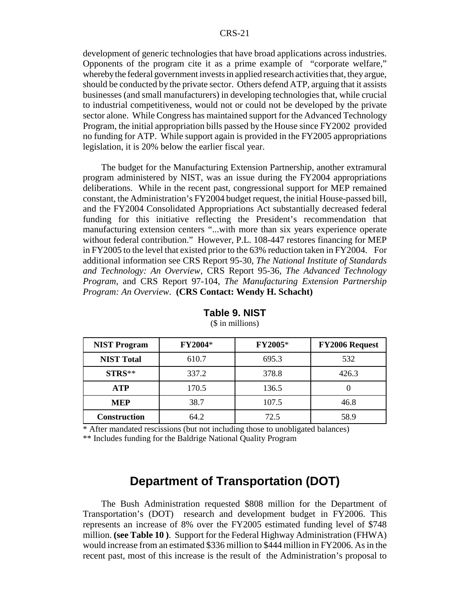development of generic technologies that have broad applications across industries. Opponents of the program cite it as a prime example of "corporate welfare," whereby the federal government invests in applied research activities that, they argue, should be conducted by the private sector. Others defend ATP, arguing that it assists businesses (and small manufacturers) in developing technologies that, while crucial to industrial competitiveness, would not or could not be developed by the private sector alone. While Congress has maintained support for the Advanced Technology Program, the initial appropriation bills passed by the House since FY2002 provided no funding for ATP. While support again is provided in the FY2005 appropriations legislation, it is 20% below the earlier fiscal year.

The budget for the Manufacturing Extension Partnership, another extramural program administered by NIST, was an issue during the FY2004 appropriations deliberations. While in the recent past, congressional support for MEP remained constant, the Administration's FY2004 budget request, the initial House-passed bill, and the FY2004 Consolidated Appropriations Act substantially decreased federal funding for this initiative reflecting the President's recommendation that manufacturing extension centers "...with more than six years experience operate without federal contribution." However, P.L. 108-447 restores financing for MEP in FY2005 to the level that existed prior to the 63% reduction taken in FY2004. For additional information see CRS Report 95-30, *The National Institute of Standards and Technology: An Overview*, CRS Report 95-36, *The Advanced Technology Program*, and CRS Report 97-104, *The Manufacturing Extension Partnership Program: An Overview*. **(CRS Contact: Wendy H. Schacht)**

| <b>NIST Program</b> | FY2004* | FY2005* | <b>FY2006 Request</b> |
|---------------------|---------|---------|-----------------------|
| <b>NIST Total</b>   | 610.7   | 695.3   | 532                   |
| STRS**              | 337.2   | 378.8   | 426.3                 |
| <b>ATP</b>          | 170.5   | 136.5   |                       |
| <b>MEP</b>          | 38.7    | 107.5   | 46.8                  |
| <b>Construction</b> | 64.2    | 72.5    | 58.9                  |

**Table 9. NIST**

(\$ in millions)

\* After mandated rescissions (but not including those to unobligated balances) \*\* Includes funding for the Baldrige National Quality Program

## **Department of Transportation (DOT)**

The Bush Administration requested \$808 million for the Department of Transportation's (DOT) research and development budget in FY2006. This represents an increase of 8% over the FY2005 estimated funding level of \$748 million. **(see Table 10 )**. Support for the Federal Highway Administration (FHWA) would increase from an estimated \$336 million to \$444 million in FY2006. As in the recent past, most of this increase is the result of the Administration's proposal to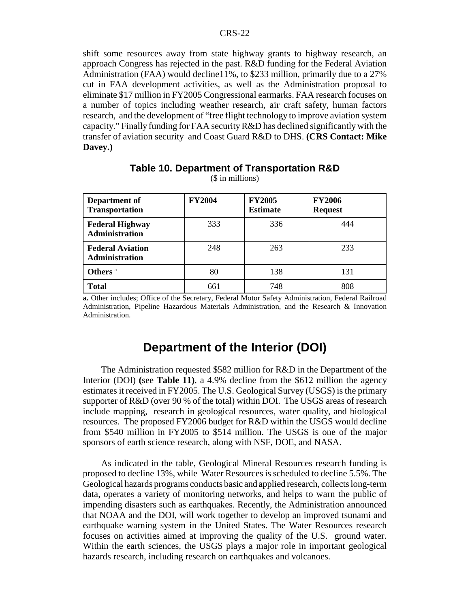shift some resources away from state highway grants to highway research, an approach Congress has rejected in the past. R&D funding for the Federal Aviation Administration (FAA) would decline11%, to \$233 million, primarily due to a 27% cut in FAA development activities, as well as the Administration proposal to eliminate \$17 million in FY2005 Congressional earmarks. FAA research focuses on a number of topics including weather research, air craft safety, human factors research, and the development of "free flight technology to improve aviation system capacity." Finally funding for FAA security R&D has declined significantly with the transfer of aviation security and Coast Guard R&D to DHS. **(CRS Contact: Mike Davey.)** 

| Department of<br><b>Transportation</b>           | <b>FY2004</b> | <b>FY2005</b><br><b>Estimate</b> | <b>FY2006</b><br><b>Request</b> |
|--------------------------------------------------|---------------|----------------------------------|---------------------------------|
| <b>Federal Highway</b><br><b>Administration</b>  | 333           | 336                              | 444                             |
| <b>Federal Aviation</b><br><b>Administration</b> | 248           | 263                              | 233                             |
| Others <sup>a</sup>                              | 80            | 138                              | 131                             |
| <b>Total</b>                                     | 661           | 748                              | 808                             |

#### **Table 10. Department of Transportation R&D** (\$ in millions)

**a.** Other includes; Office of the Secretary, Federal Motor Safety Administration, Federal Railroad Administration, Pipeline Hazardous Materials Administration, and the Research & Innovation Administration.

## **Department of the Interior (DOI)**

The Administration requested \$582 million for R&D in the Department of the Interior (DOI) **(**see **Table 11)**, a 4.9% decline from the \$612 million the agency estimates it received in FY2005. The U.S. Geological Survey (USGS) is the primary supporter of R&D (over 90 % of the total) within DOI. The USGS areas of research include mapping, research in geological resources, water quality, and biological resources. The proposed FY2006 budget for R&D within the USGS would decline from \$540 million in FY2005 to \$514 million. The USGS is one of the major sponsors of earth science research, along with NSF, DOE, and NASA.

As indicated in the table, Geological Mineral Resources research funding is proposed to decline 13%, while Water Resources is scheduled to decline 5.5%. The Geological hazards programs conducts basic and applied research, collects long-term data, operates a variety of monitoring networks, and helps to warn the public of impending disasters such as earthquakes. Recently, the Administration announced that NOAA and the DOI, will work together to develop an improved tsunami and earthquake warning system in the United States. The Water Resources research focuses on activities aimed at improving the quality of the U.S. ground water. Within the earth sciences, the USGS plays a major role in important geological hazards research, including research on earthquakes and volcanoes.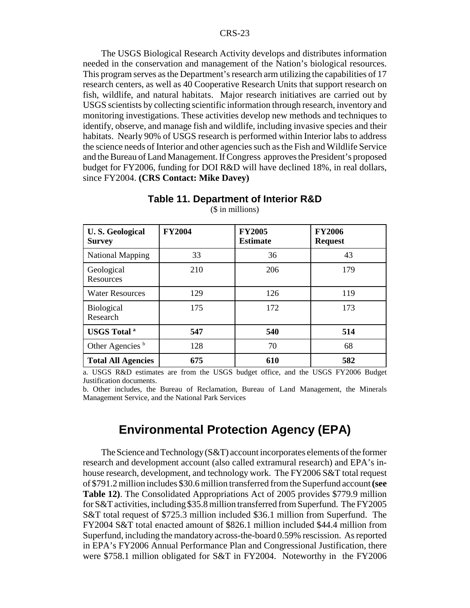The USGS Biological Research Activity develops and distributes information needed in the conservation and management of the Nation's biological resources. This program serves as the Department's research arm utilizing the capabilities of 17 research centers, as well as 40 Cooperative Research Units that support research on fish, wildlife, and natural habitats. Major research initiatives are carried out by USGS scientists by collecting scientific information through research, inventory and monitoring investigations. These activities develop new methods and techniques to identify, observe, and manage fish and wildlife, including invasive species and their habitats. Nearly 90% of USGS research is performed within Interior labs to address the science needs of Interior and other agencies such as the Fish and Wildlife Service and the Bureau of Land Management. If Congress approves the President's proposed budget for FY2006, funding for DOI R&D will have declined 18%, in real dollars, since FY2004. **(CRS Contact: Mike Davey)**

| <b>U.S. Geological</b><br><b>Survey</b> | <b>FY2004</b> | <b>FY2005</b><br><b>Estimate</b> | <b>FY2006</b><br><b>Request</b> |
|-----------------------------------------|---------------|----------------------------------|---------------------------------|
| <b>National Mapping</b>                 | 33            | 36                               | 43                              |
| Geological<br>Resources                 | 210           | 206                              | 179                             |
| <b>Water Resources</b>                  | 129           | 126                              | 119                             |
| <b>Biological</b><br>Research           | 175           | 172                              | 173                             |
| <b>USGS</b> Total <sup>a</sup>          | 547           | 540                              | 514                             |
| Other Agencies <sup>b</sup>             | 128           | 70                               | 68                              |
| <b>Total All Agencies</b>               | 675           | 610                              | 582                             |

**Table 11. Department of Interior R&D** (\$ in millions)

a. USGS R&D estimates are from the USGS budget office, and the USGS FY2006 Budget Justification documents.

b. Other includes, the Bureau of Reclamation, Bureau of Land Management, the Minerals Management Service, and the National Park Services

## **Environmental Protection Agency (EPA)**

The Science and Technology (S&T) account incorporates elements of the former research and development account (also called extramural research) and EPA's inhouse research, development, and technology work. The FY2006 S&T total request of \$791.2 million includes \$30.6 million transferred from the Superfund account **(see Table 12)**. The Consolidated Appropriations Act of 2005 provides \$779.9 million for S&T activities, including \$35.8 million transferred from Superfund. The FY2005 S&T total request of \$725.3 million included \$36.1 million from Superfund. The FY2004 S&T total enacted amount of \$826.1 million included \$44.4 million from Superfund, including the mandatory across-the-board 0.59% rescission. As reported in EPA's FY2006 Annual Performance Plan and Congressional Justification, there were \$758.1 million obligated for S&T in FY2004. Noteworthy in the FY2006